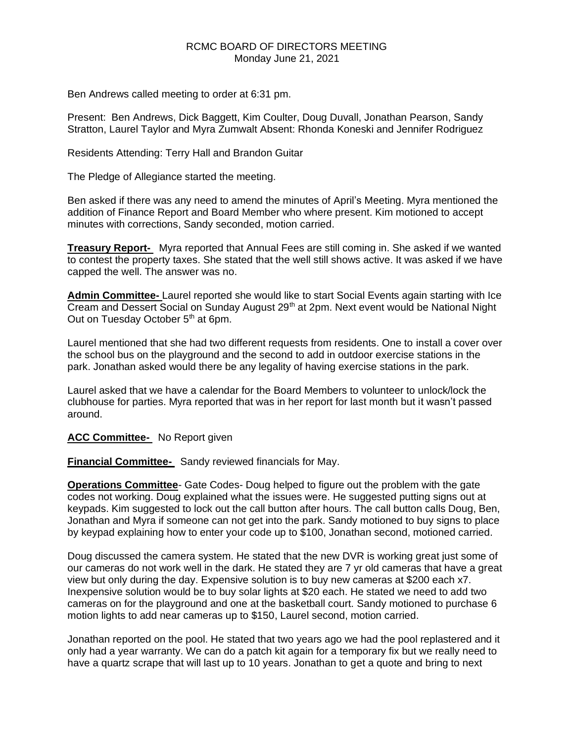## RCMC BOARD OF DIRECTORS MEETING Monday June 21, 2021

Ben Andrews called meeting to order at 6:31 pm.

Present: Ben Andrews, Dick Baggett, Kim Coulter, Doug Duvall, Jonathan Pearson, Sandy Stratton, Laurel Taylor and Myra Zumwalt Absent: Rhonda Koneski and Jennifer Rodriguez

Residents Attending: Terry Hall and Brandon Guitar

The Pledge of Allegiance started the meeting.

Ben asked if there was any need to amend the minutes of April's Meeting. Myra mentioned the addition of Finance Report and Board Member who where present. Kim motioned to accept minutes with corrections, Sandy seconded, motion carried.

**Treasury Report-** Myra reported that Annual Fees are still coming in. She asked if we wanted to contest the property taxes. She stated that the well still shows active. It was asked if we have capped the well. The answer was no.

**Admin Committee-** Laurel reported she would like to start Social Events again starting with Ice Cream and Dessert Social on Sunday August 29<sup>th</sup> at 2pm. Next event would be National Night Out on Tuesday October 5<sup>th</sup> at 6pm.

Laurel mentioned that she had two different requests from residents. One to install a cover over the school bus on the playground and the second to add in outdoor exercise stations in the park. Jonathan asked would there be any legality of having exercise stations in the park.

Laurel asked that we have a calendar for the Board Members to volunteer to unlock/lock the clubhouse for parties. Myra reported that was in her report for last month but it wasn't passed around.

### **ACC Committee-** No Report given

**Financial Committee-** Sandy reviewed financials for May.

**Operations Committee**- Gate Codes- Doug helped to figure out the problem with the gate codes not working. Doug explained what the issues were. He suggested putting signs out at keypads. Kim suggested to lock out the call button after hours. The call button calls Doug, Ben, Jonathan and Myra if someone can not get into the park. Sandy motioned to buy signs to place by keypad explaining how to enter your code up to \$100, Jonathan second, motioned carried.

Doug discussed the camera system. He stated that the new DVR is working great just some of our cameras do not work well in the dark. He stated they are 7 yr old cameras that have a great view but only during the day. Expensive solution is to buy new cameras at \$200 each x7. Inexpensive solution would be to buy solar lights at \$20 each. He stated we need to add two cameras on for the playground and one at the basketball court. Sandy motioned to purchase 6 motion lights to add near cameras up to \$150, Laurel second, motion carried.

Jonathan reported on the pool. He stated that two years ago we had the pool replastered and it only had a year warranty. We can do a patch kit again for a temporary fix but we really need to have a quartz scrape that will last up to 10 years. Jonathan to get a quote and bring to next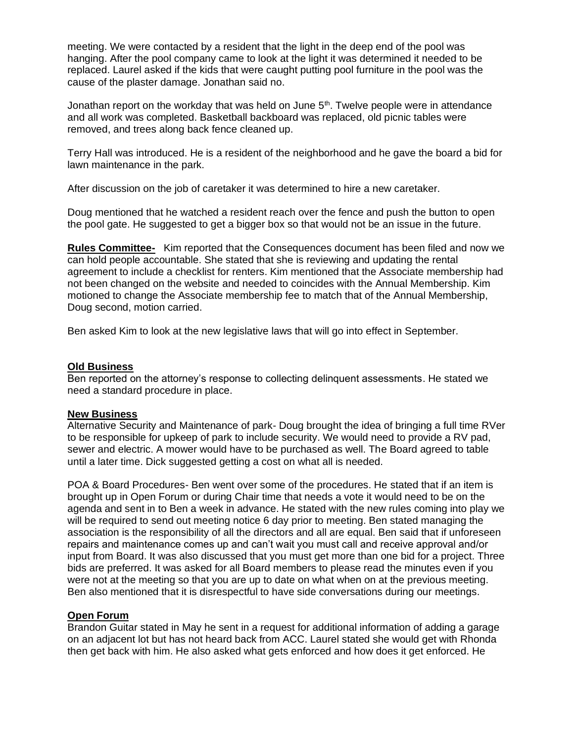meeting. We were contacted by a resident that the light in the deep end of the pool was hanging. After the pool company came to look at the light it was determined it needed to be replaced. Laurel asked if the kids that were caught putting pool furniture in the pool was the cause of the plaster damage. Jonathan said no.

Jonathan report on the workday that was held on June  $5<sup>th</sup>$ . Twelve people were in attendance and all work was completed. Basketball backboard was replaced, old picnic tables were removed, and trees along back fence cleaned up.

Terry Hall was introduced. He is a resident of the neighborhood and he gave the board a bid for lawn maintenance in the park.

After discussion on the job of caretaker it was determined to hire a new caretaker.

Doug mentioned that he watched a resident reach over the fence and push the button to open the pool gate. He suggested to get a bigger box so that would not be an issue in the future.

**Rules Committee-** Kim reported that the Consequences document has been filed and now we can hold people accountable. She stated that she is reviewing and updating the rental agreement to include a checklist for renters. Kim mentioned that the Associate membership had not been changed on the website and needed to coincides with the Annual Membership. Kim motioned to change the Associate membership fee to match that of the Annual Membership, Doug second, motion carried.

Ben asked Kim to look at the new legislative laws that will go into effect in September.

## **Old Business**

Ben reported on the attorney's response to collecting delinquent assessments. He stated we need a standard procedure in place.

### **New Business**

Alternative Security and Maintenance of park- Doug brought the idea of bringing a full time RVer to be responsible for upkeep of park to include security. We would need to provide a RV pad, sewer and electric. A mower would have to be purchased as well. The Board agreed to table until a later time. Dick suggested getting a cost on what all is needed.

POA & Board Procedures- Ben went over some of the procedures. He stated that if an item is brought up in Open Forum or during Chair time that needs a vote it would need to be on the agenda and sent in to Ben a week in advance. He stated with the new rules coming into play we will be required to send out meeting notice 6 day prior to meeting. Ben stated managing the association is the responsibility of all the directors and all are equal. Ben said that if unforeseen repairs and maintenance comes up and can't wait you must call and receive approval and/or input from Board. It was also discussed that you must get more than one bid for a project. Three bids are preferred. It was asked for all Board members to please read the minutes even if you were not at the meeting so that you are up to date on what when on at the previous meeting. Ben also mentioned that it is disrespectful to have side conversations during our meetings.

# **Open Forum**

Brandon Guitar stated in May he sent in a request for additional information of adding a garage on an adjacent lot but has not heard back from ACC. Laurel stated she would get with Rhonda then get back with him. He also asked what gets enforced and how does it get enforced. He